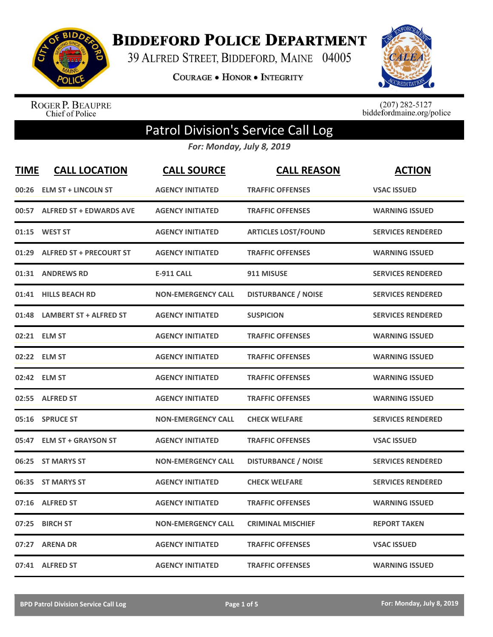

**BIDDEFORD POLICE DEPARTMENT** 

39 ALFRED STREET, BIDDEFORD, MAINE 04005

COURAGE . HONOR . INTEGRITY



ROGER P. BEAUPRE<br>Chief of Police

 $(207)$  282-5127<br>biddefordmaine.org/police

## Patrol Division's Service Call Log

*For: Monday, July 8, 2019*

| <b>TIME</b> | <b>CALL LOCATION</b>           | <b>CALL SOURCE</b>        | <b>CALL REASON</b>         | <b>ACTION</b>            |
|-------------|--------------------------------|---------------------------|----------------------------|--------------------------|
| 00:26       | <b>ELM ST + LINCOLN ST</b>     | <b>AGENCY INITIATED</b>   | <b>TRAFFIC OFFENSES</b>    | <b>VSAC ISSUED</b>       |
|             | 00:57 ALFRED ST + EDWARDS AVE  | <b>AGENCY INITIATED</b>   | <b>TRAFFIC OFFENSES</b>    | <b>WARNING ISSUED</b>    |
|             | 01:15 WEST ST                  | <b>AGENCY INITIATED</b>   | <b>ARTICLES LOST/FOUND</b> | <b>SERVICES RENDERED</b> |
| 01:29       | <b>ALFRED ST + PRECOURT ST</b> | <b>AGENCY INITIATED</b>   | <b>TRAFFIC OFFENSES</b>    | <b>WARNING ISSUED</b>    |
| 01:31       | <b>ANDREWS RD</b>              | <b>E-911 CALL</b>         | 911 MISUSE                 | <b>SERVICES RENDERED</b> |
| 01:41       | <b>HILLS BEACH RD</b>          | <b>NON-EMERGENCY CALL</b> | <b>DISTURBANCE / NOISE</b> | <b>SERVICES RENDERED</b> |
| 01:48       | <b>LAMBERT ST + ALFRED ST</b>  | <b>AGENCY INITIATED</b>   | <b>SUSPICION</b>           | <b>SERVICES RENDERED</b> |
|             | 02:21 ELM ST                   | <b>AGENCY INITIATED</b>   | <b>TRAFFIC OFFENSES</b>    | <b>WARNING ISSUED</b>    |
|             | 02:22 ELM ST                   | <b>AGENCY INITIATED</b>   | <b>TRAFFIC OFFENSES</b>    | <b>WARNING ISSUED</b>    |
|             | 02:42 ELM ST                   | <b>AGENCY INITIATED</b>   | <b>TRAFFIC OFFENSES</b>    | <b>WARNING ISSUED</b>    |
| 02:55       | <b>ALFRED ST</b>               | <b>AGENCY INITIATED</b>   | <b>TRAFFIC OFFENSES</b>    | <b>WARNING ISSUED</b>    |
| 05:16       | <b>SPRUCE ST</b>               | <b>NON-EMERGENCY CALL</b> | <b>CHECK WELFARE</b>       | <b>SERVICES RENDERED</b> |
| 05:47       | <b>ELM ST + GRAYSON ST</b>     | <b>AGENCY INITIATED</b>   | <b>TRAFFIC OFFENSES</b>    | <b>VSAC ISSUED</b>       |
| 06:25       | <b>ST MARYS ST</b>             | <b>NON-EMERGENCY CALL</b> | <b>DISTURBANCE / NOISE</b> | <b>SERVICES RENDERED</b> |
| 06:35       | <b>ST MARYS ST</b>             | <b>AGENCY INITIATED</b>   | <b>CHECK WELFARE</b>       | <b>SERVICES RENDERED</b> |
| 07:16       | <b>ALFRED ST</b>               | <b>AGENCY INITIATED</b>   | <b>TRAFFIC OFFENSES</b>    | <b>WARNING ISSUED</b>    |
| 07:25       | <b>BIRCH ST</b>                | <b>NON-EMERGENCY CALL</b> | <b>CRIMINAL MISCHIEF</b>   | <b>REPORT TAKEN</b>      |
| 07:27       | <b>ARENA DR</b>                | <b>AGENCY INITIATED</b>   | <b>TRAFFIC OFFENSES</b>    | <b>VSAC ISSUED</b>       |
|             | 07:41 ALFRED ST                | <b>AGENCY INITIATED</b>   | <b>TRAFFIC OFFENSES</b>    | <b>WARNING ISSUED</b>    |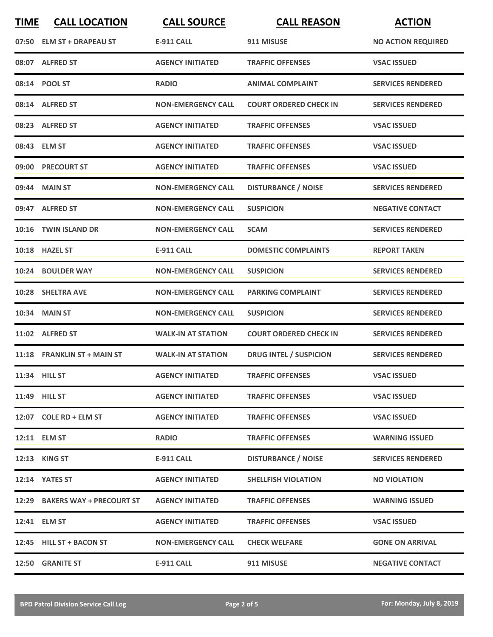| <b>TIME</b> | <b>CALL LOCATION</b>           | <b>CALL SOURCE</b>        | <b>CALL REASON</b>            | <b>ACTION</b>             |
|-------------|--------------------------------|---------------------------|-------------------------------|---------------------------|
|             | 07:50 ELM ST + DRAPEAU ST      | <b>E-911 CALL</b>         | 911 MISUSE                    | <b>NO ACTION REQUIRED</b> |
|             | 08:07 ALFRED ST                | <b>AGENCY INITIATED</b>   | <b>TRAFFIC OFFENSES</b>       | <b>VSAC ISSUED</b>        |
|             | 08:14 POOL ST                  | <b>RADIO</b>              | <b>ANIMAL COMPLAINT</b>       | <b>SERVICES RENDERED</b>  |
|             | 08:14 ALFRED ST                | <b>NON-EMERGENCY CALL</b> | <b>COURT ORDERED CHECK IN</b> | <b>SERVICES RENDERED</b>  |
|             | 08:23 ALFRED ST                | <b>AGENCY INITIATED</b>   | <b>TRAFFIC OFFENSES</b>       | <b>VSAC ISSUED</b>        |
|             | 08:43 ELM ST                   | <b>AGENCY INITIATED</b>   | <b>TRAFFIC OFFENSES</b>       | <b>VSAC ISSUED</b>        |
|             | 09:00 PRECOURT ST              | <b>AGENCY INITIATED</b>   | <b>TRAFFIC OFFENSES</b>       | <b>VSAC ISSUED</b>        |
|             | 09:44 MAIN ST                  | <b>NON-EMERGENCY CALL</b> | <b>DISTURBANCE / NOISE</b>    | <b>SERVICES RENDERED</b>  |
|             | 09:47 ALFRED ST                | <b>NON-EMERGENCY CALL</b> | <b>SUSPICION</b>              | <b>NEGATIVE CONTACT</b>   |
|             | 10:16 TWIN ISLAND DR           | <b>NON-EMERGENCY CALL</b> | <b>SCAM</b>                   | <b>SERVICES RENDERED</b>  |
|             | 10:18 HAZEL ST                 | <b>E-911 CALL</b>         | <b>DOMESTIC COMPLAINTS</b>    | <b>REPORT TAKEN</b>       |
|             | 10:24 BOULDER WAY              | <b>NON-EMERGENCY CALL</b> | <b>SUSPICION</b>              | <b>SERVICES RENDERED</b>  |
|             | 10:28 SHELTRA AVE              | <b>NON-EMERGENCY CALL</b> | <b>PARKING COMPLAINT</b>      | <b>SERVICES RENDERED</b>  |
| 10:34       | <b>MAIN ST</b>                 | <b>NON-EMERGENCY CALL</b> | <b>SUSPICION</b>              | <b>SERVICES RENDERED</b>  |
|             | 11:02 ALFRED ST                | <b>WALK-IN AT STATION</b> | <b>COURT ORDERED CHECK IN</b> | <b>SERVICES RENDERED</b>  |
|             | 11:18 FRANKLIN ST + MAIN ST    | <b>WALK-IN AT STATION</b> | <b>DRUG INTEL / SUSPICION</b> | <b>SERVICES RENDERED</b>  |
|             | 11:34 HILL ST                  | <b>AGENCY INITIATED</b>   | <b>TRAFFIC OFFENSES</b>       | <b>VSAC ISSUED</b>        |
|             | 11:49 HILL ST                  | <b>AGENCY INITIATED</b>   | <b>TRAFFIC OFFENSES</b>       | <b>VSAC ISSUED</b>        |
|             | 12:07 COLE RD + ELM ST         | <b>AGENCY INITIATED</b>   | <b>TRAFFIC OFFENSES</b>       | <b>VSAC ISSUED</b>        |
|             | 12:11 ELM ST                   | <b>RADIO</b>              | <b>TRAFFIC OFFENSES</b>       | <b>WARNING ISSUED</b>     |
|             | <b>12:13 KING ST</b>           | E-911 CALL                | <b>DISTURBANCE / NOISE</b>    | <b>SERVICES RENDERED</b>  |
|             | 12:14 YATES ST                 | <b>AGENCY INITIATED</b>   | <b>SHELLFISH VIOLATION</b>    | <b>NO VIOLATION</b>       |
|             | 12:29 BAKERS WAY + PRECOURT ST | <b>AGENCY INITIATED</b>   | <b>TRAFFIC OFFENSES</b>       | <b>WARNING ISSUED</b>     |
|             | 12:41 ELM ST                   | <b>AGENCY INITIATED</b>   | <b>TRAFFIC OFFENSES</b>       | <b>VSAC ISSUED</b>        |
|             | 12:45 HILL ST + BACON ST       | <b>NON-EMERGENCY CALL</b> | <b>CHECK WELFARE</b>          | <b>GONE ON ARRIVAL</b>    |
|             | 12:50 GRANITE ST               | <b>E-911 CALL</b>         | 911 MISUSE                    | <b>NEGATIVE CONTACT</b>   |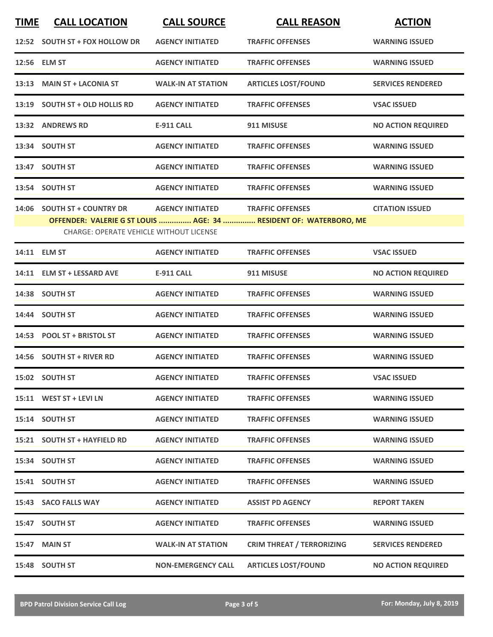| <b>TIME</b> | <b>CALL LOCATION</b>                           | <b>CALL SOURCE</b>        | <b>CALL REASON</b>                                                | <b>ACTION</b>             |
|-------------|------------------------------------------------|---------------------------|-------------------------------------------------------------------|---------------------------|
|             | 12:52 SOUTH ST + FOX HOLLOW DR                 | <b>AGENCY INITIATED</b>   | <b>TRAFFIC OFFENSES</b>                                           | <b>WARNING ISSUED</b>     |
|             | 12:56 ELM ST                                   | <b>AGENCY INITIATED</b>   | <b>TRAFFIC OFFENSES</b>                                           | <b>WARNING ISSUED</b>     |
| 13:13       | <b>MAIN ST + LACONIA ST</b>                    | <b>WALK-IN AT STATION</b> | <b>ARTICLES LOST/FOUND</b>                                        | <b>SERVICES RENDERED</b>  |
|             | 13:19 SOUTH ST + OLD HOLLIS RD                 | <b>AGENCY INITIATED</b>   | <b>TRAFFIC OFFENSES</b>                                           | <b>VSAC ISSUED</b>        |
|             | 13:32 ANDREWS RD                               | <b>E-911 CALL</b>         | 911 MISUSE                                                        | <b>NO ACTION REQUIRED</b> |
|             | 13:34 SOUTH ST                                 | <b>AGENCY INITIATED</b>   | <b>TRAFFIC OFFENSES</b>                                           | <b>WARNING ISSUED</b>     |
|             | 13:47 SOUTH ST                                 | <b>AGENCY INITIATED</b>   | <b>TRAFFIC OFFENSES</b>                                           | <b>WARNING ISSUED</b>     |
|             | 13:54 SOUTH ST                                 | <b>AGENCY INITIATED</b>   | <b>TRAFFIC OFFENSES</b>                                           | <b>WARNING ISSUED</b>     |
|             | 14:06 SOUTH ST + COUNTRY DR                    | <b>AGENCY INITIATED</b>   | <b>TRAFFIC OFFENSES</b>                                           | <b>CITATION ISSUED</b>    |
|             | <b>CHARGE: OPERATE VEHICLE WITHOUT LICENSE</b> |                           | OFFENDER: VALERIE G ST LOUIS  AGE: 34  RESIDENT OF: WATERBORO, ME |                           |
|             | 14:11 ELM ST                                   | <b>AGENCY INITIATED</b>   | <b>TRAFFIC OFFENSES</b>                                           | <b>VSAC ISSUED</b>        |
|             | 14:11 ELM ST + LESSARD AVE                     | <b>E-911 CALL</b>         | 911 MISUSE                                                        | <b>NO ACTION REQUIRED</b> |
|             | 14:38 SOUTH ST                                 | <b>AGENCY INITIATED</b>   | <b>TRAFFIC OFFENSES</b>                                           | <b>WARNING ISSUED</b>     |
|             | 14:44 SOUTH ST                                 | <b>AGENCY INITIATED</b>   | <b>TRAFFIC OFFENSES</b>                                           | <b>WARNING ISSUED</b>     |
|             | 14:53 POOL ST + BRISTOL ST                     | <b>AGENCY INITIATED</b>   | <b>TRAFFIC OFFENSES</b>                                           | <b>WARNING ISSUED</b>     |
|             | 14:56 SOUTH ST + RIVER RD                      | <b>AGENCY INITIATED</b>   | <b>TRAFFIC OFFENSES</b>                                           | <b>WARNING ISSUED</b>     |
|             | 15:02 SOUTH ST                                 | <b>AGENCY INITIATED</b>   | <b>TRAFFIC OFFENSES</b>                                           | <b>VSAC ISSUED</b>        |
|             | 15:11 WEST ST + LEVI LN                        | <b>AGENCY INITIATED</b>   | <b>TRAFFIC OFFENSES</b>                                           | <b>WARNING ISSUED</b>     |
|             | 15:14 SOUTH ST                                 | <b>AGENCY INITIATED</b>   | <b>TRAFFIC OFFENSES</b>                                           | <b>WARNING ISSUED</b>     |
|             | 15:21 SOUTH ST + HAYFIELD RD                   | <b>AGENCY INITIATED</b>   | <b>TRAFFIC OFFENSES</b>                                           | <b>WARNING ISSUED</b>     |
|             | 15:34 SOUTH ST                                 | <b>AGENCY INITIATED</b>   | <b>TRAFFIC OFFENSES</b>                                           | <b>WARNING ISSUED</b>     |
|             | 15:41 SOUTH ST                                 | <b>AGENCY INITIATED</b>   | <b>TRAFFIC OFFENSES</b>                                           | <b>WARNING ISSUED</b>     |
|             | 15:43 SACO FALLS WAY                           | <b>AGENCY INITIATED</b>   | <b>ASSIST PD AGENCY</b>                                           | <b>REPORT TAKEN</b>       |
|             | 15:47 SOUTH ST                                 | <b>AGENCY INITIATED</b>   | <b>TRAFFIC OFFENSES</b>                                           | <b>WARNING ISSUED</b>     |
|             | 15:47 MAIN ST                                  | <b>WALK-IN AT STATION</b> | <b>CRIM THREAT / TERRORIZING</b>                                  | <b>SERVICES RENDERED</b>  |
|             | 15:48 SOUTH ST                                 | <b>NON-EMERGENCY CALL</b> | <b>ARTICLES LOST/FOUND</b>                                        | <b>NO ACTION REQUIRED</b> |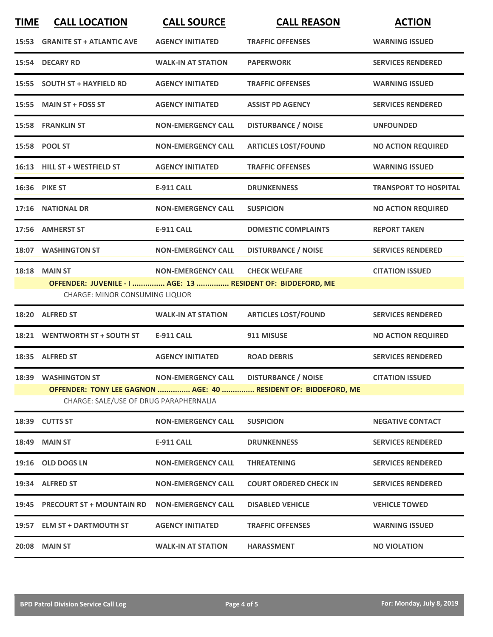| <b>TIME</b> | <b>CALL LOCATION</b>                                                                                     | <b>CALL SOURCE</b>        | <b>CALL REASON</b>            | <b>ACTION</b>                |  |  |
|-------------|----------------------------------------------------------------------------------------------------------|---------------------------|-------------------------------|------------------------------|--|--|
| 15:53       | <b>GRANITE ST + ATLANTIC AVE</b>                                                                         | <b>AGENCY INITIATED</b>   | <b>TRAFFIC OFFENSES</b>       | <b>WARNING ISSUED</b>        |  |  |
|             | 15:54 DECARY RD                                                                                          | <b>WALK-IN AT STATION</b> | <b>PAPERWORK</b>              | <b>SERVICES RENDERED</b>     |  |  |
|             | 15:55 SOUTH ST + HAYFIELD RD                                                                             | <b>AGENCY INITIATED</b>   | <b>TRAFFIC OFFENSES</b>       | <b>WARNING ISSUED</b>        |  |  |
|             | 15:55 MAIN ST + FOSS ST                                                                                  | <b>AGENCY INITIATED</b>   | <b>ASSIST PD AGENCY</b>       | <b>SERVICES RENDERED</b>     |  |  |
|             | <b>15:58 FRANKLIN ST</b>                                                                                 | <b>NON-EMERGENCY CALL</b> | <b>DISTURBANCE / NOISE</b>    | <b>UNFOUNDED</b>             |  |  |
|             | 15:58 POOL ST                                                                                            | <b>NON-EMERGENCY CALL</b> | <b>ARTICLES LOST/FOUND</b>    | <b>NO ACTION REQUIRED</b>    |  |  |
|             | 16:13 HILL ST + WESTFIELD ST                                                                             | <b>AGENCY INITIATED</b>   | <b>TRAFFIC OFFENSES</b>       | <b>WARNING ISSUED</b>        |  |  |
|             | 16:36 PIKE ST                                                                                            | <b>E-911 CALL</b>         | <b>DRUNKENNESS</b>            | <b>TRANSPORT TO HOSPITAL</b> |  |  |
|             | 17:16 NATIONAL DR                                                                                        | <b>NON-EMERGENCY CALL</b> | <b>SUSPICION</b>              | <b>NO ACTION REQUIRED</b>    |  |  |
|             | 17:56 AMHERST ST                                                                                         | <b>E-911 CALL</b>         | <b>DOMESTIC COMPLAINTS</b>    | <b>REPORT TAKEN</b>          |  |  |
|             | 18:07 WASHINGTON ST                                                                                      | <b>NON-EMERGENCY CALL</b> | <b>DISTURBANCE / NOISE</b>    | <b>SERVICES RENDERED</b>     |  |  |
|             | <b>18:18 MAIN ST</b>                                                                                     | <b>NON-EMERGENCY CALL</b> | <b>CHECK WELFARE</b>          | <b>CITATION ISSUED</b>       |  |  |
|             | OFFENDER: JUVENILE - I  AGE: 13  RESIDENT OF: BIDDEFORD, ME<br><b>CHARGE: MINOR CONSUMING LIQUOR</b>     |                           |                               |                              |  |  |
|             | 18:20 ALFRED ST                                                                                          | <b>WALK-IN AT STATION</b> | <b>ARTICLES LOST/FOUND</b>    | <b>SERVICES RENDERED</b>     |  |  |
|             | 18:21 WENTWORTH ST + SOUTH ST                                                                            | <b>E-911 CALL</b>         | 911 MISUSE                    | <b>NO ACTION REQUIRED</b>    |  |  |
|             | 18:35 ALFRED ST                                                                                          | <b>AGENCY INITIATED</b>   | <b>ROAD DEBRIS</b>            | <b>SERVICES RENDERED</b>     |  |  |
|             | 18:39 WASHINGTON ST                                                                                      | <b>NON-EMERGENCY CALL</b> | <b>DISTURBANCE / NOISE</b>    | <b>CITATION ISSUED</b>       |  |  |
|             | OFFENDER: TONY LEE GAGNON  AGE: 40  RESIDENT OF: BIDDEFORD, ME<br>CHARGE: SALE/USE OF DRUG PARAPHERNALIA |                           |                               |                              |  |  |
|             | 18:39 CUTTS ST                                                                                           | <b>NON-EMERGENCY CALL</b> | <b>SUSPICION</b>              | <b>NEGATIVE CONTACT</b>      |  |  |
|             | <b>18:49 MAIN ST</b>                                                                                     | <b>E-911 CALL</b>         | <b>DRUNKENNESS</b>            | <b>SERVICES RENDERED</b>     |  |  |
|             | 19:16 OLD DOGS LN                                                                                        | <b>NON-EMERGENCY CALL</b> | <b>THREATENING</b>            | <b>SERVICES RENDERED</b>     |  |  |
|             | 19:34 ALFRED ST                                                                                          | <b>NON-EMERGENCY CALL</b> | <b>COURT ORDERED CHECK IN</b> | <b>SERVICES RENDERED</b>     |  |  |
|             | 19:45 PRECOURT ST + MOUNTAIN RD                                                                          | <b>NON-EMERGENCY CALL</b> | <b>DISABLED VEHICLE</b>       | <b>VEHICLE TOWED</b>         |  |  |
|             | 19:57 ELM ST + DARTMOUTH ST                                                                              | <b>AGENCY INITIATED</b>   | <b>TRAFFIC OFFENSES</b>       | <b>WARNING ISSUED</b>        |  |  |
| 20:08       | <b>MAIN ST</b>                                                                                           | <b>WALK-IN AT STATION</b> | <b>HARASSMENT</b>             | <b>NO VIOLATION</b>          |  |  |